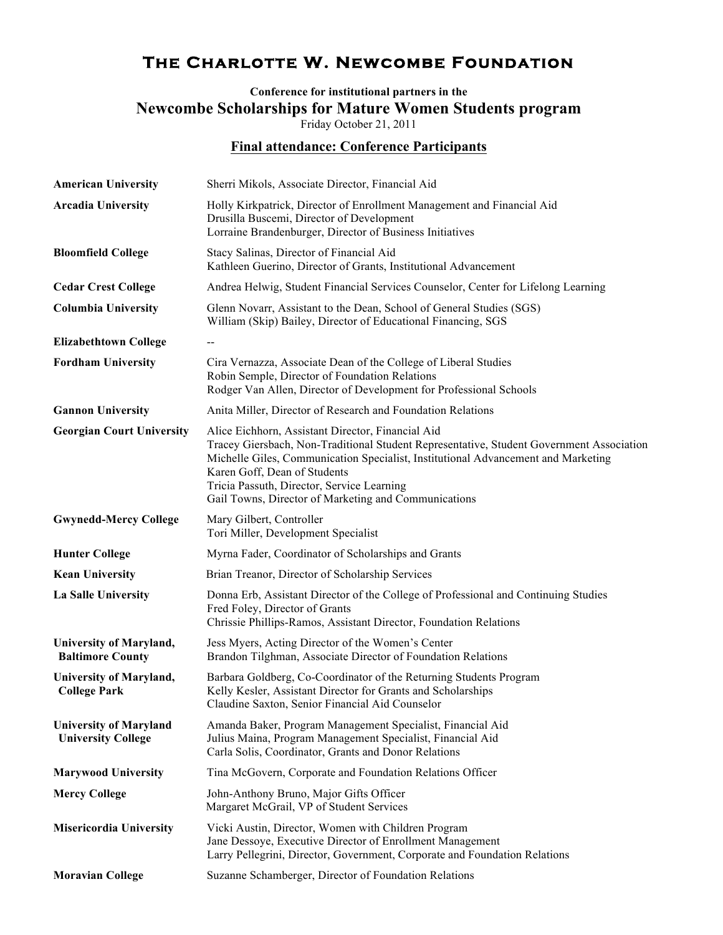## **The Charlotte W. Newcombe Foundation**

**Conference for institutional partners in the Newcombe Scholarships for Mature Women Students program** Friday October 21, 2011

**Final attendance: Conference Participants**

| <b>American University</b>                                 | Sherri Mikols, Associate Director, Financial Aid                                                                                                                                                                                                                                                                                                                         |
|------------------------------------------------------------|--------------------------------------------------------------------------------------------------------------------------------------------------------------------------------------------------------------------------------------------------------------------------------------------------------------------------------------------------------------------------|
| <b>Arcadia University</b>                                  | Holly Kirkpatrick, Director of Enrollment Management and Financial Aid<br>Drusilla Buscemi, Director of Development<br>Lorraine Brandenburger, Director of Business Initiatives                                                                                                                                                                                          |
| <b>Bloomfield College</b>                                  | Stacy Salinas, Director of Financial Aid<br>Kathleen Guerino, Director of Grants, Institutional Advancement                                                                                                                                                                                                                                                              |
| <b>Cedar Crest College</b>                                 | Andrea Helwig, Student Financial Services Counselor, Center for Lifelong Learning                                                                                                                                                                                                                                                                                        |
| <b>Columbia University</b>                                 | Glenn Novarr, Assistant to the Dean, School of General Studies (SGS)<br>William (Skip) Bailey, Director of Educational Financing, SGS                                                                                                                                                                                                                                    |
| <b>Elizabethtown College</b>                               |                                                                                                                                                                                                                                                                                                                                                                          |
| <b>Fordham University</b>                                  | Cira Vernazza, Associate Dean of the College of Liberal Studies<br>Robin Semple, Director of Foundation Relations<br>Rodger Van Allen, Director of Development for Professional Schools                                                                                                                                                                                  |
| <b>Gannon University</b>                                   | Anita Miller, Director of Research and Foundation Relations                                                                                                                                                                                                                                                                                                              |
| <b>Georgian Court University</b>                           | Alice Eichhorn, Assistant Director, Financial Aid<br>Tracey Giersbach, Non-Traditional Student Representative, Student Government Association<br>Michelle Giles, Communication Specialist, Institutional Advancement and Marketing<br>Karen Goff, Dean of Students<br>Tricia Passuth, Director, Service Learning<br>Gail Towns, Director of Marketing and Communications |
| <b>Gwynedd-Mercy College</b>                               | Mary Gilbert, Controller<br>Tori Miller, Development Specialist                                                                                                                                                                                                                                                                                                          |
| <b>Hunter College</b>                                      | Myrna Fader, Coordinator of Scholarships and Grants                                                                                                                                                                                                                                                                                                                      |
| <b>Kean University</b>                                     | Brian Treanor, Director of Scholarship Services                                                                                                                                                                                                                                                                                                                          |
| La Salle University                                        | Donna Erb, Assistant Director of the College of Professional and Continuing Studies<br>Fred Foley, Director of Grants<br>Chrissie Phillips-Ramos, Assistant Director, Foundation Relations                                                                                                                                                                               |
| <b>University of Maryland,</b><br><b>Baltimore County</b>  | Jess Myers, Acting Director of the Women's Center<br>Brandon Tilghman, Associate Director of Foundation Relations                                                                                                                                                                                                                                                        |
| <b>University of Maryland,</b><br><b>College Park</b>      | Barbara Goldberg, Co-Coordinator of the Returning Students Program<br>Kelly Kesler, Assistant Director for Grants and Scholarships<br>Claudine Saxton, Senior Financial Aid Counselor                                                                                                                                                                                    |
| <b>University of Maryland</b><br><b>University College</b> | Amanda Baker, Program Management Specialist, Financial Aid<br>Julius Maina, Program Management Specialist, Financial Aid<br>Carla Solis, Coordinator, Grants and Donor Relations                                                                                                                                                                                         |
| <b>Marywood University</b>                                 | Tina McGovern, Corporate and Foundation Relations Officer                                                                                                                                                                                                                                                                                                                |
| <b>Mercy College</b>                                       | John-Anthony Bruno, Major Gifts Officer<br>Margaret McGrail, VP of Student Services                                                                                                                                                                                                                                                                                      |
| <b>Misericordia University</b>                             | Vicki Austin, Director, Women with Children Program<br>Jane Dessoye, Executive Director of Enrollment Management<br>Larry Pellegrini, Director, Government, Corporate and Foundation Relations                                                                                                                                                                           |
| <b>Moravian College</b>                                    | Suzanne Schamberger, Director of Foundation Relations                                                                                                                                                                                                                                                                                                                    |
|                                                            |                                                                                                                                                                                                                                                                                                                                                                          |